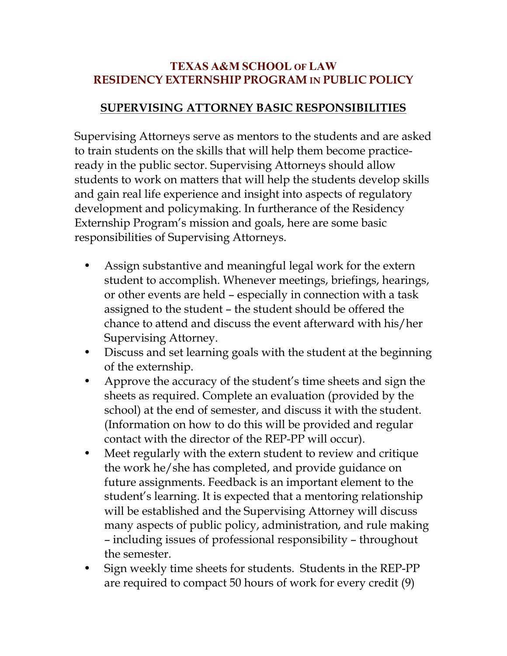## **TEXAS A&M SCHOOL OF LAW RESIDENCY EXTERNSHIP PROGRAM IN PUBLIC POLICY**

## **SUPERVISING ATTORNEY BASIC RESPONSIBILITIES**

Supervising Attorneys serve as mentors to the students and are asked to train students on the skills that will help them become practiceready in the public sector. Supervising Attorneys should allow students to work on matters that will help the students develop skills and gain real life experience and insight into aspects of regulatory development and policymaking. In furtherance of the Residency Externship Program's mission and goals, here are some basic responsibilities of Supervising Attorneys.

- Assign substantive and meaningful legal work for the extern student to accomplish. Whenever meetings, briefings, hearings, or other events are held – especially in connection with a task assigned to the student – the student should be offered the chance to attend and discuss the event afterward with his/her Supervising Attorney.
- Discuss and set learning goals with the student at the beginning of the externship.
- Approve the accuracy of the student's time sheets and sign the sheets as required. Complete an evaluation (provided by the school) at the end of semester, and discuss it with the student. (Information on how to do this will be provided and regular contact with the director of the REP-PP will occur).
- Meet regularly with the extern student to review and critique the work he/she has completed, and provide guidance on future assignments. Feedback is an important element to the student's learning. It is expected that a mentoring relationship will be established and the Supervising Attorney will discuss many aspects of public policy, administration, and rule making – including issues of professional responsibility – throughout the semester.
- Sign weekly time sheets for students. Students in the REP-PP are required to compact 50 hours of work for every credit (9)